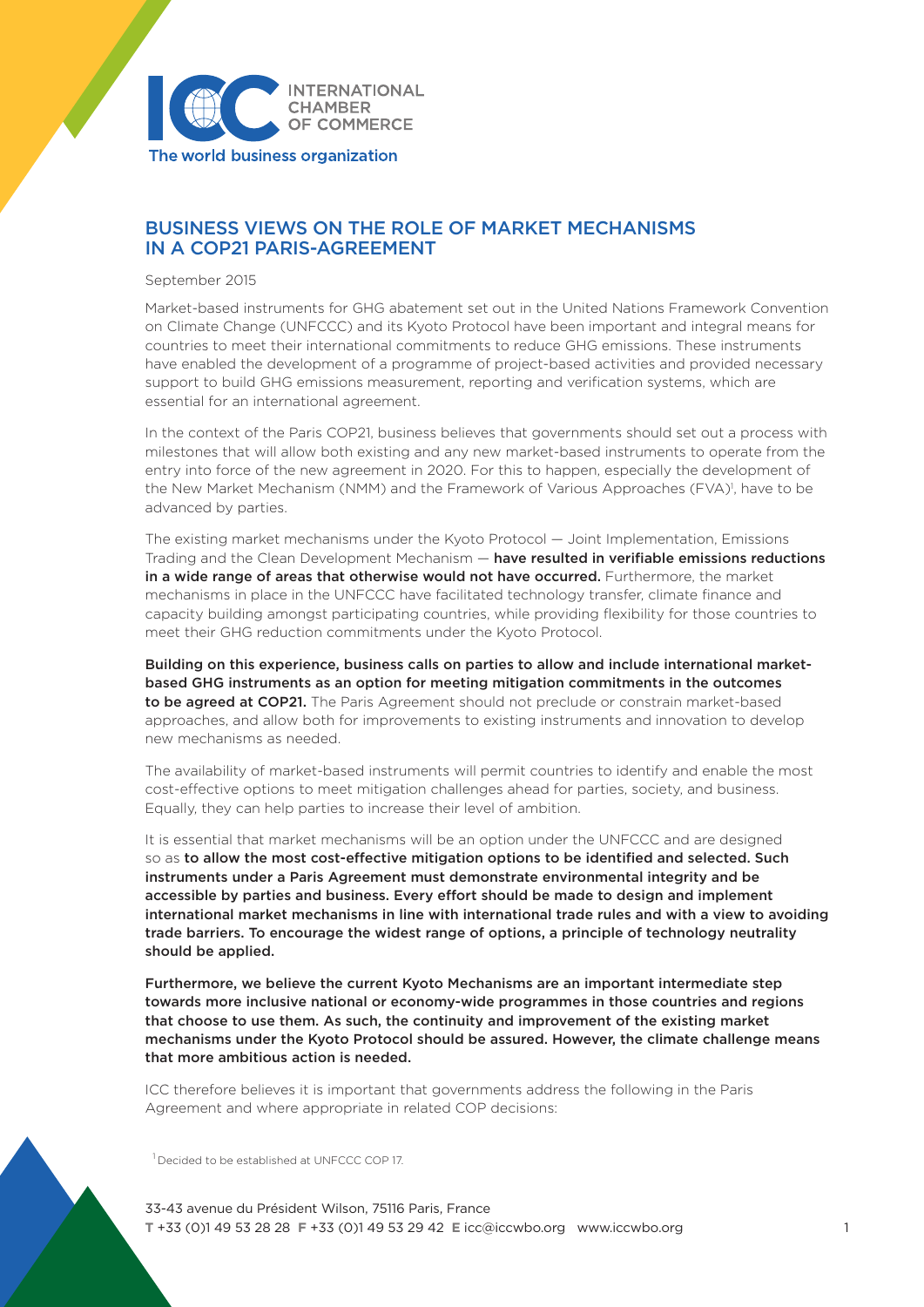

# BUSINESS VIEWS ON THE ROLE OF MARKET MECHANISMS IN A COP21 PARIS-AGREEMENT

September 2015

Market-based instruments for GHG abatement set out in the United Nations Framework Convention on Climate Change (UNFCCC) and its Kyoto Protocol have been important and integral means for countries to meet their international commitments to reduce GHG emissions. These instruments have enabled the development of a programme of project-based activities and provided necessary support to build GHG emissions measurement, reporting and verification systems, which are essential for an international agreement.

In the context of the Paris COP21, business believes that governments should set out a process with milestones that will allow both existing and any new market-based instruments to operate from the entry into force of the new agreement in 2020. For this to happen, especially the development of the New Market Mechanism (NMM) and the Framework of Various Approaches (FVA)<sup>1</sup>, have to be advanced by parties.

The existing market mechanisms under the Kyoto Protocol — Joint Implementation, Emissions Trading and the Clean Development Mechanism — have resulted in verifiable emissions reductions in a wide range of areas that otherwise would not have occurred. Furthermore, the market mechanisms in place in the UNFCCC have facilitated technology transfer, climate finance and capacity building amongst participating countries, while providing flexibility for those countries to meet their GHG reduction commitments under the Kyoto Protocol.

Building on this experience, business calls on parties to allow and include international marketbased GHG instruments as an option for meeting mitigation commitments in the outcomes to be agreed at COP21. The Paris Agreement should not preclude or constrain market-based approaches, and allow both for improvements to existing instruments and innovation to develop new mechanisms as needed.

The availability of market-based instruments will permit countries to identify and enable the most cost-effective options to meet mitigation challenges ahead for parties, society, and business. Equally, they can help parties to increase their level of ambition.

It is essential that market mechanisms will be an option under the UNFCCC and are designed so as to allow the most cost-effective mitigation options to be identified and selected. Such instruments under a Paris Agreement must demonstrate environmental integrity and be accessible by parties and business. Every effort should be made to design and implement international market mechanisms in line with international trade rules and with a view to avoiding trade barriers. To encourage the widest range of options, a principle of technology neutrality should be applied.

Furthermore, we believe the current Kyoto Mechanisms are an important intermediate step towards more inclusive national or economy-wide programmes in those countries and regions that choose to use them. As such, the continuity and improvement of the existing market mechanisms under the Kyoto Protocol should be assured. However, the climate challenge means that more ambitious action is needed.

ICC therefore believes it is important that governments address the following in the Paris Agreement and where appropriate in related COP decisions:

<sup>1</sup> Decided to be established at UNFCCC COP 17.

33-43 avenue du Président Wilson, 75116 Paris, France **T** +33 (0)1 49 53 28 28 **F** +33 (0)1 49 53 29 42 **E** icc@iccwbo.org www.iccwbo.org 1